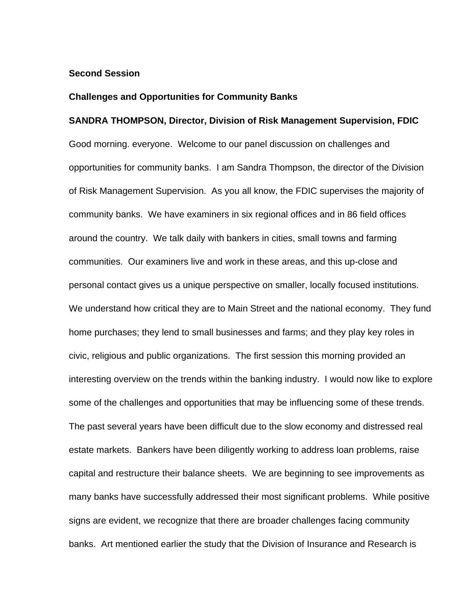### **Second Session**

#### **Challenges and Opportunities for Community Banks**

#### **SANDRA THOMPSON, Director, Division of Risk Management Supervision, FDIC**

Good morning. everyone. Welcome to our panel discussion on challenges and opportunities for community banks. I am Sandra Thompson, the director of the Division of Risk Management Supervision. As you all know, the FDIC supervises the majority of community banks. We have examiners in six regional offices and in 86 field offices around the country. We talk daily with bankers in cities, small towns and farming communities. Our examiners live and work in these areas, and this up-close and personal contact gives us a unique perspective on smaller, locally focused institutions. We understand how critical they are to Main Street and the national economy. They fund home purchases; they lend to small businesses and farms; and they play key roles in civic, religious and public organizations. The first session this morning provided an interesting overview on the trends within the banking industry. I would now like to explore some of the challenges and opportunities that may be influencing some of these trends. The past several years have been difficult due to the slow economy and distressed real estate markets. Bankers have been diligently working to address loan problems, raise capital and restructure their balance sheets. We are beginning to see improvements as many banks have successfully addressed their most significant problems. While positive signs are evident, we recognize that there are broader challenges facing community banks. Art mentioned earlier the study that the Division of Insurance and Research is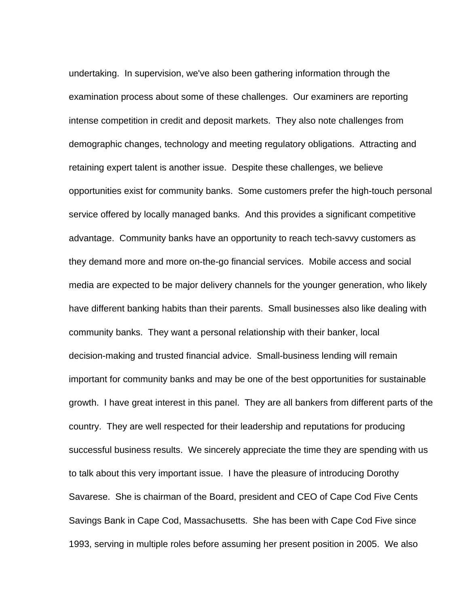undertaking. In supervision, we've also been gathering information through the examination process about some of these challenges. Our examiners are reporting intense competition in credit and deposit markets. They also note challenges from demographic changes, technology and meeting regulatory obligations. Attracting and retaining expert talent is another issue. Despite these challenges, we believe opportunities exist for community banks. Some customers prefer the high-touch personal service offered by locally managed banks. And this provides a significant competitive advantage. Community banks have an opportunity to reach tech-savvy customers as they demand more and more on-the-go financial services. Mobile access and social media are expected to be major delivery channels for the younger generation, who likely have different banking habits than their parents. Small businesses also like dealing with community banks. They want a personal relationship with their banker, local decision-making and trusted financial advice. Small-business lending will remain important for community banks and may be one of the best opportunities for sustainable growth. I have great interest in this panel. They are all bankers from different parts of the country. They are well respected for their leadership and reputations for producing successful business results. We sincerely appreciate the time they are spending with us to talk about this very important issue. I have the pleasure of introducing Dorothy Savarese. She is chairman of the Board, president and CEO of Cape Cod Five Cents Savings Bank in Cape Cod, Massachusetts. She has been with Cape Cod Five since 1993, serving in multiple roles before assuming her present position in 2005. We also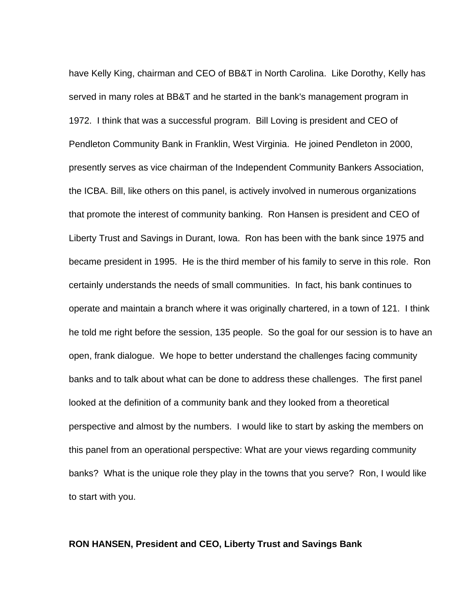have Kelly King, chairman and CEO of BB&T in North Carolina. Like Dorothy, Kelly has served in many roles at BB&T and he started in the bank's management program in 1972. I think that was a successful program. Bill Loving is president and CEO of Pendleton Community Bank in Franklin, West Virginia. He joined Pendleton in 2000, presently serves as vice chairman of the Independent Community Bankers Association, the ICBA. Bill, like others on this panel, is actively involved in numerous organizations that promote the interest of community banking. Ron Hansen is president and CEO of Liberty Trust and Savings in Durant, Iowa. Ron has been with the bank since 1975 and became president in 1995. He is the third member of his family to serve in this role. Ron certainly understands the needs of small communities. In fact, his bank continues to operate and maintain a branch where it was originally chartered, in a town of 121. I think he told me right before the session, 135 people. So the goal for our session is to have an open, frank dialogue. We hope to better understand the challenges facing community banks and to talk about what can be done to address these challenges. The first panel looked at the definition of a community bank and they looked from a theoretical perspective and almost by the numbers. I would like to start by asking the members on this panel from an operational perspective: What are your views regarding community banks? What is the unique role they play in the towns that you serve? Ron, I would like to start with you.

### **RON HANSEN, President and CEO, Liberty Trust and Savings Bank**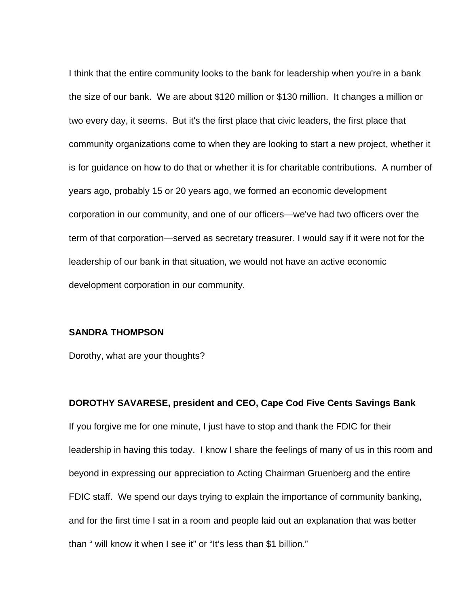I think that the entire community looks to the bank for leadership when you're in a bank the size of our bank. We are about \$120 million or \$130 million. It changes a million or two every day, it seems. But it's the first place that civic leaders, the first place that community organizations come to when they are looking to start a new project, whether it is for guidance on how to do that or whether it is for charitable contributions. A number of years ago, probably 15 or 20 years ago, we formed an economic development corporation in our community, and one of our officers—we've had two officers over the term of that corporation—served as secretary treasurer. I would say if it were not for the leadership of our bank in that situation, we would not have an active economic development corporation in our community.

#### **SANDRA THOMPSON**

Dorothy, what are your thoughts?

**DOROTHY SAVARESE, president and CEO, Cape Cod Five Cents Savings Bank**  If you forgive me for one minute, I just have to stop and thank the FDIC for their leadership in having this today. I know I share the feelings of many of us in this room and beyond in expressing our appreciation to Acting Chairman Gruenberg and the entire FDIC staff. We spend our days trying to explain the importance of community banking, and for the first time I sat in a room and people laid out an explanation that was better than " will know it when I see it" or "It's less than \$1 billion."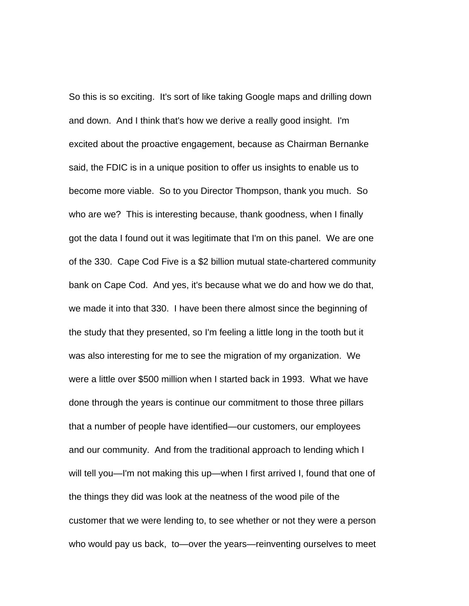So this is so exciting. It's sort of like taking Google maps and drilling down and down. And I think that's how we derive a really good insight. I'm excited about the proactive engagement, because as Chairman Bernanke said, the FDIC is in a unique position to offer us insights to enable us to become more viable. So to you Director Thompson, thank you much. So who are we? This is interesting because, thank goodness, when I finally got the data I found out it was legitimate that I'm on this panel. We are one of the 330. Cape Cod Five is a \$2 billion mutual state-chartered community bank on Cape Cod. And yes, it's because what we do and how we do that, we made it into that 330. I have been there almost since the beginning of the study that they presented, so I'm feeling a little long in the tooth but it was also interesting for me to see the migration of my organization. We were a little over \$500 million when I started back in 1993. What we have done through the years is continue our commitment to those three pillars that a number of people have identified—our customers, our employees and our community. And from the traditional approach to lending which I will tell you—I'm not making this up—when I first arrived I, found that one of the things they did was look at the neatness of the wood pile of the customer that we were lending to, to see whether or not they were a person who would pay us back, to—over the years—reinventing ourselves to meet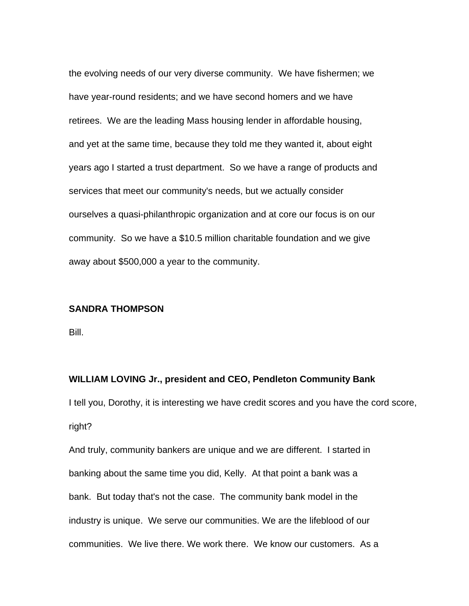the evolving needs of our very diverse community. We have fishermen; we have year-round residents; and we have second homers and we have retirees. We are the leading Mass housing lender in affordable housing, and yet at the same time, because they told me they wanted it, about eight years ago I started a trust department. So we have a range of products and services that meet our community's needs, but we actually consider ourselves a quasi-philanthropic organization and at core our focus is on our community. So we have a \$10.5 million charitable foundation and we give away about \$500,000 a year to the community.

## **SANDRA THOMPSON**

Bill.

#### **WILLIAM LOVING Jr., president and CEO, Pendleton Community Bank**

I tell you, Dorothy, it is interesting we have credit scores and you have the cord score, right?

And truly, community bankers are unique and we are different. I started in banking about the same time you did, Kelly. At that point a bank was a bank. But today that's not the case. The community bank model in the industry is unique. We serve our communities. We are the lifeblood of our communities. We live there. We work there. We know our customers. As a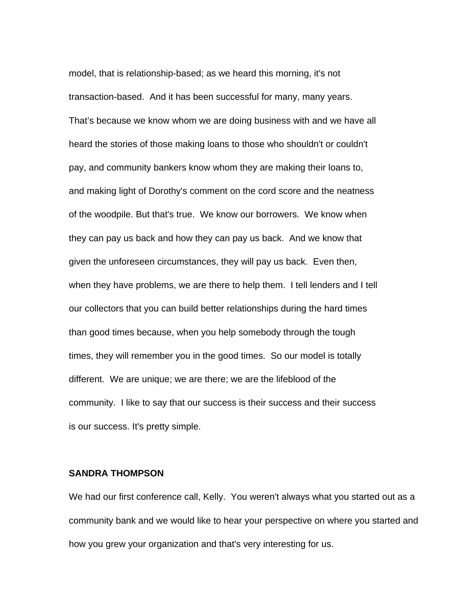model, that is relationship-based; as we heard this morning, it's not transaction-based. And it has been successful for many, many years. That's because we know whom we are doing business with and we have all heard the stories of those making loans to those who shouldn't or couldn't pay, and community bankers know whom they are making their loans to, and making light of Dorothy's comment on the cord score and the neatness of the woodpile. But that's true. We know our borrowers. We know when they can pay us back and how they can pay us back. And we know that given the unforeseen circumstances, they will pay us back. Even then, when they have problems, we are there to help them. I tell lenders and I tell our collectors that you can build better relationships during the hard times than good times because, when you help somebody through the tough times, they will remember you in the good times. So our model is totally different. We are unique; we are there; we are the lifeblood of the community. I like to say that our success is their success and their success is our success. It's pretty simple.

## **SANDRA THOMPSON**

We had our first conference call, Kelly. You weren't always what you started out as a community bank and we would like to hear your perspective on where you started and how you grew your organization and that's very interesting for us.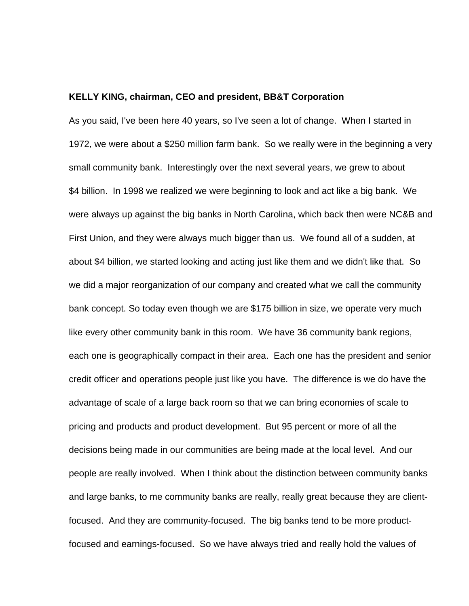### **KELLY KING, chairman, CEO and president, BB&T Corporation**

As you said, I've been here 40 years, so I've seen a lot of change. When I started in 1972, we were about a \$250 million farm bank. So we really were in the beginning a very small community bank. Interestingly over the next several years, we grew to about \$4 billion. In 1998 we realized we were beginning to look and act like a big bank. We were always up against the big banks in North Carolina, which back then were NC&B and First Union, and they were always much bigger than us. We found all of a sudden, at about \$4 billion, we started looking and acting just like them and we didn't like that. So we did a major reorganization of our company and created what we call the community bank concept. So today even though we are \$175 billion in size, we operate very much like every other community bank in this room. We have 36 community bank regions, each one is geographically compact in their area. Each one has the president and senior credit officer and operations people just like you have. The difference is we do have the advantage of scale of a large back room so that we can bring economies of scale to pricing and products and product development. But 95 percent or more of all the decisions being made in our communities are being made at the local level. And our people are really involved. When I think about the distinction between community banks and large banks, to me community banks are really, really great because they are clientfocused. And they are community-focused. The big banks tend to be more productfocused and earnings-focused. So we have always tried and really hold the values of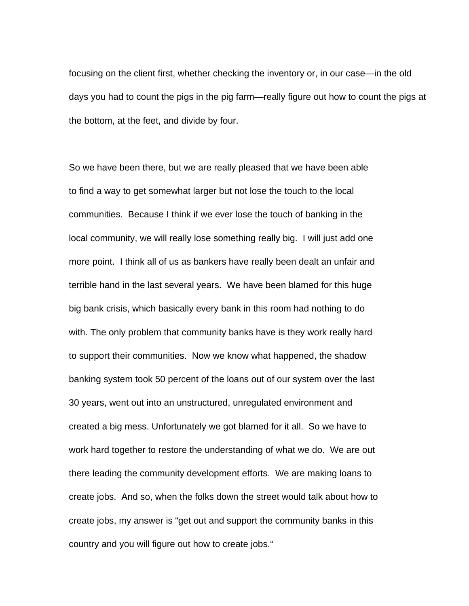focusing on the client first, whether checking the inventory or, in our case—in the old days you had to count the pigs in the pig farm—really figure out how to count the pigs at the bottom, at the feet, and divide by four.

So we have been there, but we are really pleased that we have been able to find a way to get somewhat larger but not lose the touch to the local communities. Because I think if we ever lose the touch of banking in the local community, we will really lose something really big. I will just add one more point. I think all of us as bankers have really been dealt an unfair and terrible hand in the last several years. We have been blamed for this huge big bank crisis, which basically every bank in this room had nothing to do with. The only problem that community banks have is they work really hard to support their communities. Now we know what happened, the shadow banking system took 50 percent of the loans out of our system over the last 30 years, went out into an unstructured, unregulated environment and created a big mess. Unfortunately we got blamed for it all. So we have to work hard together to restore the understanding of what we do. We are out there leading the community development efforts. We are making loans to create jobs. And so, when the folks down the street would talk about how to create jobs, my answer is "get out and support the community banks in this country and you will figure out how to create jobs."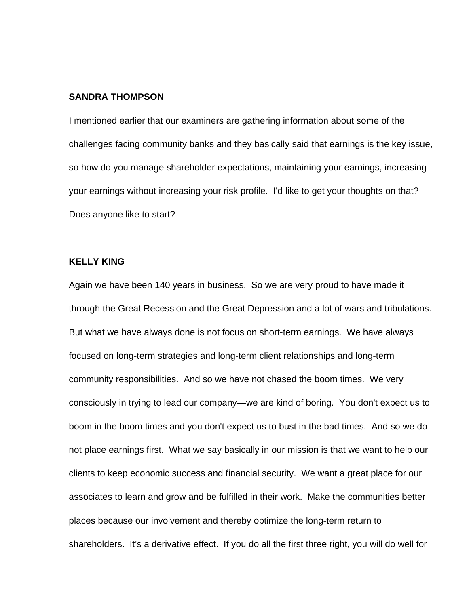#### **SANDRA THOMPSON**

I mentioned earlier that our examiners are gathering information about some of the challenges facing community banks and they basically said that earnings is the key issue, so how do you manage shareholder expectations, maintaining your earnings, increasing your earnings without increasing your risk profile. I'd like to get your thoughts on that? Does anyone like to start?

# **KELLY KING**

Again we have been 140 years in business. So we are very proud to have made it through the Great Recession and the Great Depression and a lot of wars and tribulations. But what we have always done is not focus on short-term earnings. We have always focused on long-term strategies and long-term client relationships and long-term community responsibilities. And so we have not chased the boom times. We very consciously in trying to lead our company—we are kind of boring. You don't expect us to boom in the boom times and you don't expect us to bust in the bad times. And so we do not place earnings first. What we say basically in our mission is that we want to help our clients to keep economic success and financial security. We want a great place for our associates to learn and grow and be fulfilled in their work. Make the communities better places because our involvement and thereby optimize the long-term return to shareholders. It's a derivative effect. If you do all the first three right, you will do well for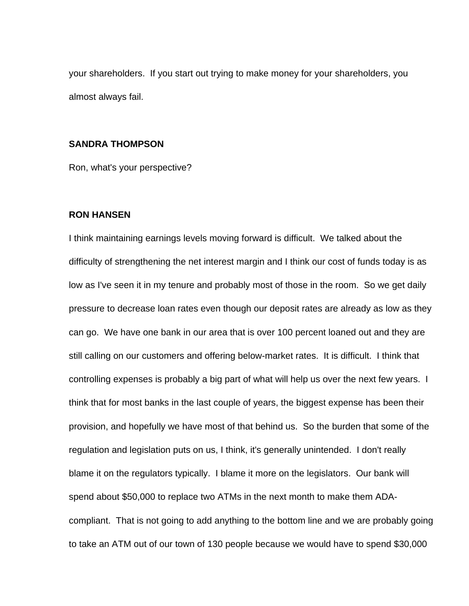your shareholders. If you start out trying to make money for your shareholders, you almost always fail.

### **SANDRA THOMPSON**

Ron, what's your perspective?

# **RON HANSEN**

I think maintaining earnings levels moving forward is difficult. We talked about the difficulty of strengthening the net interest margin and I think our cost of funds today is as low as I've seen it in my tenure and probably most of those in the room. So we get daily pressure to decrease loan rates even though our deposit rates are already as low as they can go. We have one bank in our area that is over 100 percent loaned out and they are still calling on our customers and offering below-market rates. It is difficult. I think that controlling expenses is probably a big part of what will help us over the next few years. I think that for most banks in the last couple of years, the biggest expense has been their provision, and hopefully we have most of that behind us. So the burden that some of the regulation and legislation puts on us, I think, it's generally unintended. I don't really blame it on the regulators typically. I blame it more on the legislators. Our bank will spend about \$50,000 to replace two ATMs in the next month to make them ADAcompliant. That is not going to add anything to the bottom line and we are probably going to take an ATM out of our town of 130 people because we would have to spend \$30,000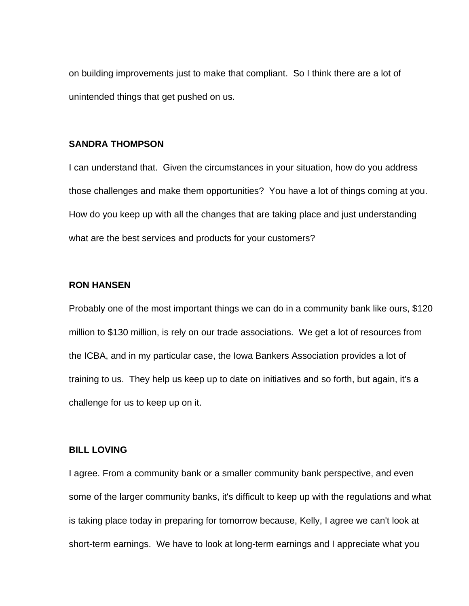on building improvements just to make that compliant. So I think there are a lot of unintended things that get pushed on us.

## **SANDRA THOMPSON**

I can understand that. Given the circumstances in your situation, how do you address those challenges and make them opportunities? You have a lot of things coming at you. How do you keep up with all the changes that are taking place and just understanding what are the best services and products for your customers?

### **RON HANSEN**

Probably one of the most important things we can do in a community bank like ours, \$120 million to \$130 million, is rely on our trade associations. We get a lot of resources from the ICBA, and in my particular case, the Iowa Bankers Association provides a lot of training to us. They help us keep up to date on initiatives and so forth, but again, it's a challenge for us to keep up on it.

### **BILL LOVING**

I agree. From a community bank or a smaller community bank perspective, and even some of the larger community banks, it's difficult to keep up with the regulations and what is taking place today in preparing for tomorrow because, Kelly, I agree we can't look at short-term earnings. We have to look at long-term earnings and I appreciate what you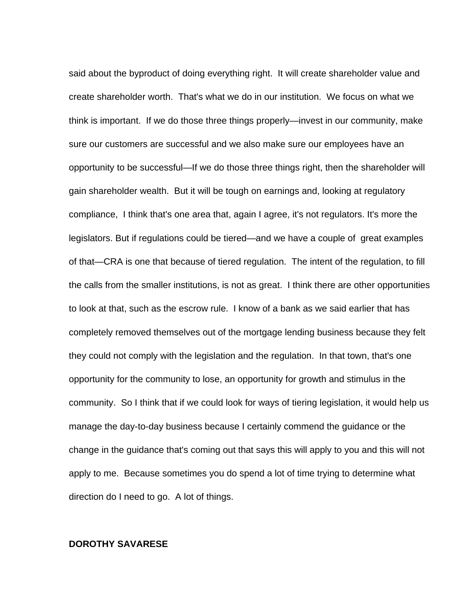said about the byproduct of doing everything right. It will create shareholder value and create shareholder worth. That's what we do in our institution. We focus on what we think is important. If we do those three things properly—invest in our community, make sure our customers are successful and we also make sure our employees have an opportunity to be successful—If we do those three things right, then the shareholder will gain shareholder wealth. But it will be tough on earnings and, looking at regulatory compliance, I think that's one area that, again I agree, it's not regulators. It's more the legislators. But if regulations could be tiered—and we have a couple of great examples of that—CRA is one that because of tiered regulation. The intent of the regulation, to fill the calls from the smaller institutions, is not as great. I think there are other opportunities to look at that, such as the escrow rule. I know of a bank as we said earlier that has completely removed themselves out of the mortgage lending business because they felt they could not comply with the legislation and the regulation. In that town, that's one opportunity for the community to lose, an opportunity for growth and stimulus in the community. So I think that if we could look for ways of tiering legislation, it would help us manage the day-to-day business because I certainly commend the guidance or the change in the guidance that's coming out that says this will apply to you and this will not apply to me. Because sometimes you do spend a lot of time trying to determine what direction do I need to go. A lot of things.

## **DOROTHY SAVARESE**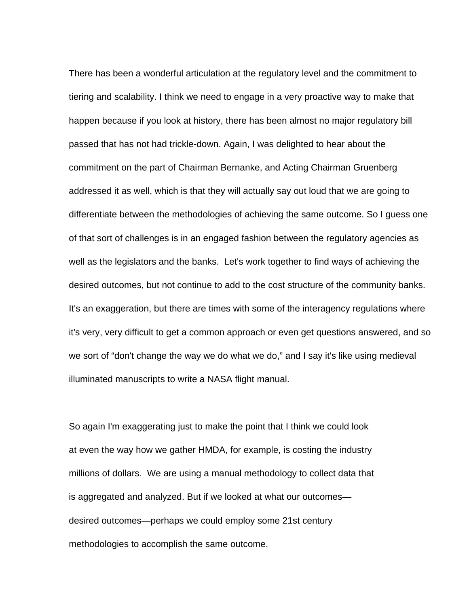There has been a wonderful articulation at the regulatory level and the commitment to tiering and scalability. I think we need to engage in a very proactive way to make that happen because if you look at history, there has been almost no major regulatory bill passed that has not had trickle-down. Again, I was delighted to hear about the commitment on the part of Chairman Bernanke, and Acting Chairman Gruenberg addressed it as well, which is that they will actually say out loud that we are going to differentiate between the methodologies of achieving the same outcome. So I guess one of that sort of challenges is in an engaged fashion between the regulatory agencies as well as the legislators and the banks. Let's work together to find ways of achieving the desired outcomes, but not continue to add to the cost structure of the community banks. It's an exaggeration, but there are times with some of the interagency regulations where it's very, very difficult to get a common approach or even get questions answered, and so we sort of "don't change the way we do what we do," and I say it's like using medieval illuminated manuscripts to write a NASA flight manual.

So again I'm exaggerating just to make the point that I think we could look at even the way how we gather HMDA, for example, is costing the industry millions of dollars. We are using a manual methodology to collect data that is aggregated and analyzed. But if we looked at what our outcomes desired outcomes—perhaps we could employ some 21st century methodologies to accomplish the same outcome.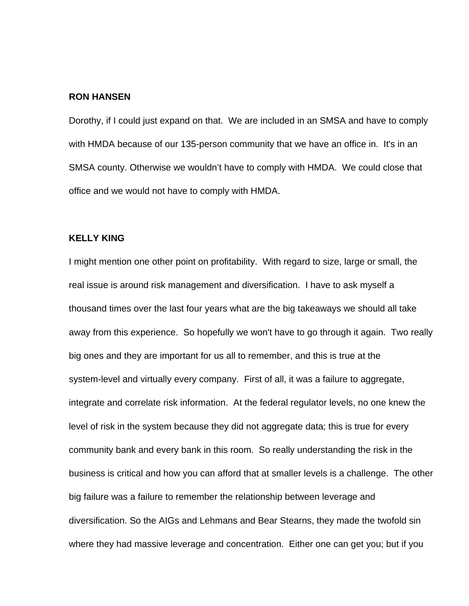### **RON HANSEN**

Dorothy, if I could just expand on that. We are included in an SMSA and have to comply with HMDA because of our 135-person community that we have an office in. It's in an SMSA county. Otherwise we wouldn't have to comply with HMDA. We could close that office and we would not have to comply with HMDA.

## **KELLY KING**

I might mention one other point on profitability. With regard to size, large or small, the real issue is around risk management and diversification. I have to ask myself a thousand times over the last four years what are the big takeaways we should all take away from this experience. So hopefully we won't have to go through it again. Two really big ones and they are important for us all to remember, and this is true at the system-level and virtually every company. First of all, it was a failure to aggregate, integrate and correlate risk information. At the federal regulator levels, no one knew the level of risk in the system because they did not aggregate data; this is true for every community bank and every bank in this room. So really understanding the risk in the business is critical and how you can afford that at smaller levels is a challenge. The other big failure was a failure to remember the relationship between leverage and diversification. So the AIGs and Lehmans and Bear Stearns, they made the twofold sin where they had massive leverage and concentration. Either one can get you; but if you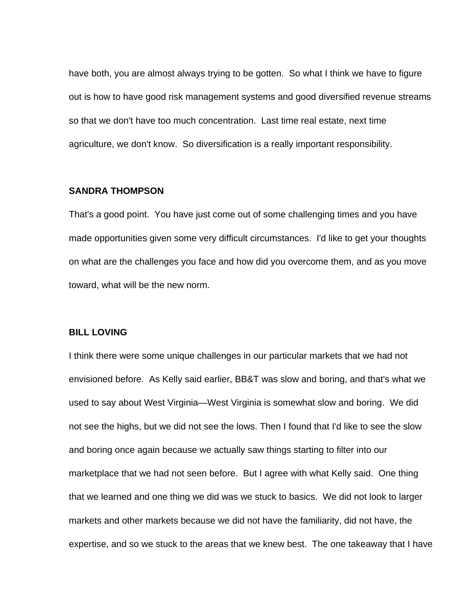have both, you are almost always trying to be gotten. So what I think we have to figure out is how to have good risk management systems and good diversified revenue streams so that we don't have too much concentration. Last time real estate, next time agriculture, we don't know. So diversification is a really important responsibility.

## **SANDRA THOMPSON**

That's a good point. You have just come out of some challenging times and you have made opportunities given some very difficult circumstances. I'd like to get your thoughts on what are the challenges you face and how did you overcome them, and as you move toward, what will be the new norm.

#### **BILL LOVING**

I think there were some unique challenges in our particular markets that we had not envisioned before. As Kelly said earlier, BB&T was slow and boring, and that's what we used to say about West Virginia—West Virginia is somewhat slow and boring. We did not see the highs, but we did not see the lows. Then I found that I'd like to see the slow and boring once again because we actually saw things starting to filter into our marketplace that we had not seen before. But I agree with what Kelly said. One thing that we learned and one thing we did was we stuck to basics. We did not look to larger markets and other markets because we did not have the familiarity, did not have, the expertise, and so we stuck to the areas that we knew best. The one takeaway that I have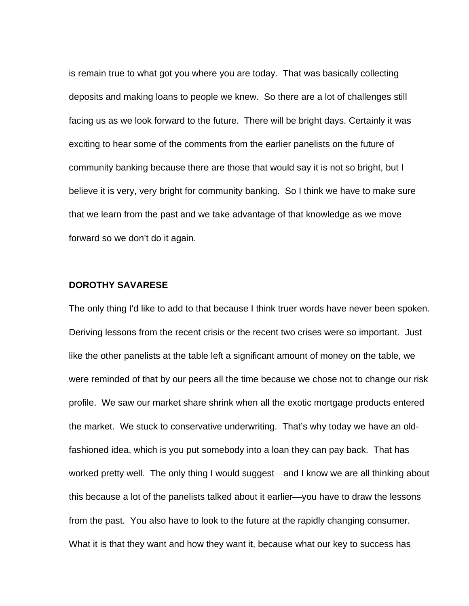is remain true to what got you where you are today. That was basically collecting deposits and making loans to people we knew. So there are a lot of challenges still facing us as we look forward to the future. There will be bright days. Certainly it was exciting to hear some of the comments from the earlier panelists on the future of community banking because there are those that would say it is not so bright, but I believe it is very, very bright for community banking. So I think we have to make sure that we learn from the past and we take advantage of that knowledge as we move forward so we don't do it again.

#### **DOROTHY SAVARESE**

The only thing I'd like to add to that because I think truer words have never been spoken. Deriving lessons from the recent crisis or the recent two crises were so important. Just like the other panelists at the table left a significant amount of money on the table, we were reminded of that by our peers all the time because we chose not to change our risk profile. We saw our market share shrink when all the exotic mortgage products entered the market. We stuck to conservative underwriting. That's why today we have an oldfashioned idea, which is you put somebody into a loan they can pay back. That has worked pretty well. The only thing I would suggest—and I know we are all thinking about this because a lot of the panelists talked about it earlier—you have to draw the lessons from the past. You also have to look to the future at the rapidly changing consumer. What it is that they want and how they want it, because what our key to success has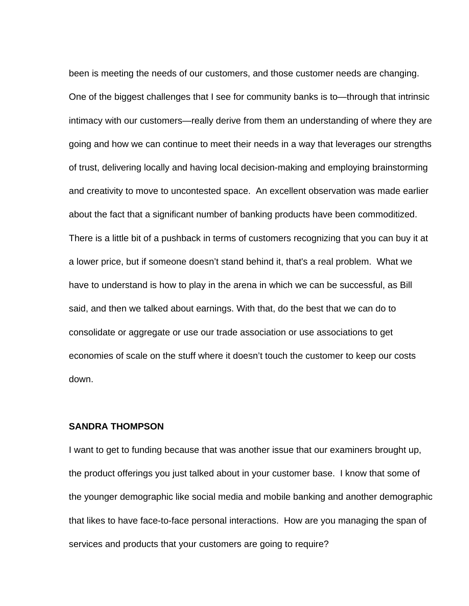been is meeting the needs of our customers, and those customer needs are changing. One of the biggest challenges that I see for community banks is to—through that intrinsic intimacy with our customers—really derive from them an understanding of where they are going and how we can continue to meet their needs in a way that leverages our strengths of trust, delivering locally and having local decision-making and employing brainstorming and creativity to move to uncontested space. An excellent observation was made earlier about the fact that a significant number of banking products have been commoditized. There is a little bit of a pushback in terms of customers recognizing that you can buy it at a lower price, but if someone doesn't stand behind it, that's a real problem. What we have to understand is how to play in the arena in which we can be successful, as Bill said, and then we talked about earnings. With that, do the best that we can do to consolidate or aggregate or use our trade association or use associations to get economies of scale on the stuff where it doesn't touch the customer to keep our costs down.

## **SANDRA THOMPSON**

I want to get to funding because that was another issue that our examiners brought up, the product offerings you just talked about in your customer base. I know that some of the younger demographic like social media and mobile banking and another demographic that likes to have face-to-face personal interactions. How are you managing the span of services and products that your customers are going to require?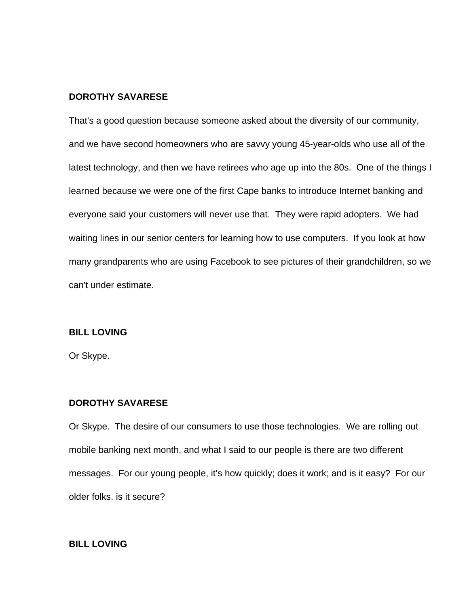## **DOROTHY SAVARESE**

That's a good question because someone asked about the diversity of our community, and we have second homeowners who are savvy young 45-year-olds who use all of the latest technology, and then we have retirees who age up into the 80s. One of the things I learned because we were one of the first Cape banks to introduce Internet banking and everyone said your customers will never use that. They were rapid adopters. We had waiting lines in our senior centers for learning how to use computers. If you look at how many grandparents who are using Facebook to see pictures of their grandchildren, so we can't under estimate.

## **BILL LOVING**

Or Skype.

## **DOROTHY SAVARESE**

Or Skype. The desire of our consumers to use those technologies. We are rolling out mobile banking next month, and what I said to our people is there are two different messages. For our young people, it's how quickly; does it work; and is it easy? For our older folks. is it secure?

## **BILL LOVING**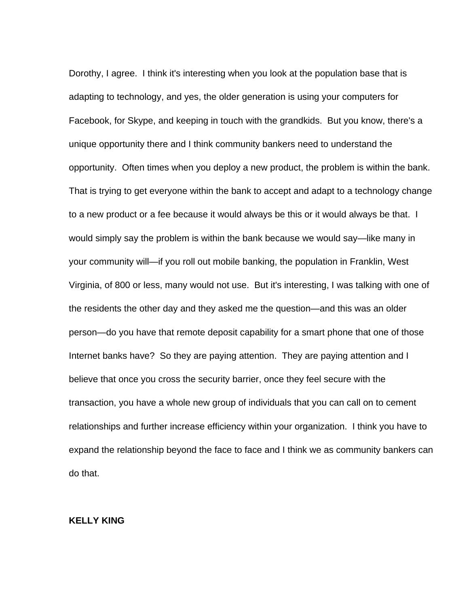Dorothy, I agree. I think it's interesting when you look at the population base that is adapting to technology, and yes, the older generation is using your computers for Facebook, for Skype, and keeping in touch with the grandkids. But you know, there's a unique opportunity there and I think community bankers need to understand the opportunity. Often times when you deploy a new product, the problem is within the bank. That is trying to get everyone within the bank to accept and adapt to a technology change to a new product or a fee because it would always be this or it would always be that. I would simply say the problem is within the bank because we would say—like many in your community will—if you roll out mobile banking, the population in Franklin, West Virginia, of 800 or less, many would not use. But it's interesting, I was talking with one of the residents the other day and they asked me the question—and this was an older person—do you have that remote deposit capability for a smart phone that one of those Internet banks have? So they are paying attention. They are paying attention and I believe that once you cross the security barrier, once they feel secure with the transaction, you have a whole new group of individuals that you can call on to cement relationships and further increase efficiency within your organization. I think you have to expand the relationship beyond the face to face and I think we as community bankers can do that.

# **KELLY KING**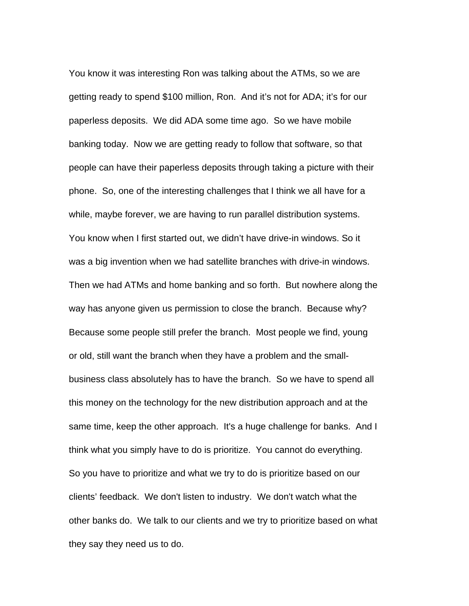You know it was interesting Ron was talking about the ATMs, so we are getting ready to spend \$100 million, Ron. And it's not for ADA; it's for our paperless deposits. We did ADA some time ago. So we have mobile banking today. Now we are getting ready to follow that software, so that people can have their paperless deposits through taking a picture with their phone. So, one of the interesting challenges that I think we all have for a while, maybe forever, we are having to run parallel distribution systems. You know when I first started out, we didn't have drive-in windows. So it was a big invention when we had satellite branches with drive-in windows. Then we had ATMs and home banking and so forth. But nowhere along the way has anyone given us permission to close the branch. Because why? Because some people still prefer the branch. Most people we find, young or old, still want the branch when they have a problem and the smallbusiness class absolutely has to have the branch. So we have to spend all this money on the technology for the new distribution approach and at the same time, keep the other approach. It's a huge challenge for banks. And I think what you simply have to do is prioritize. You cannot do everything. So you have to prioritize and what we try to do is prioritize based on our clients' feedback. We don't listen to industry. We don't watch what the other banks do. We talk to our clients and we try to prioritize based on what they say they need us to do.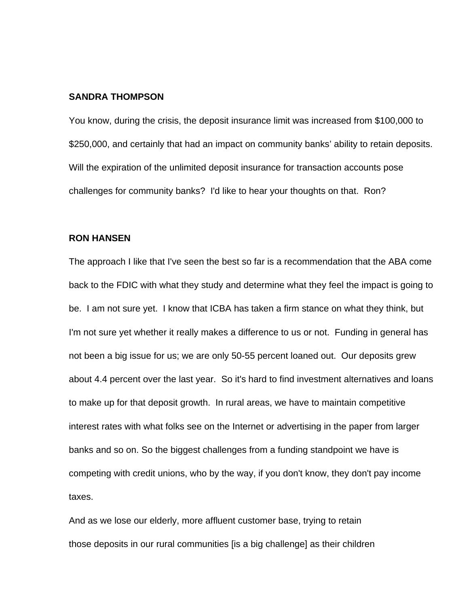#### **SANDRA THOMPSON**

You know, during the crisis, the deposit insurance limit was increased from \$100,000 to \$250,000, and certainly that had an impact on community banks' ability to retain deposits. Will the expiration of the unlimited deposit insurance for transaction accounts pose challenges for community banks? I'd like to hear your thoughts on that. Ron?

## **RON HANSEN**

The approach I like that I've seen the best so far is a recommendation that the ABA come back to the FDIC with what they study and determine what they feel the impact is going to be. I am not sure yet. I know that ICBA has taken a firm stance on what they think, but I'm not sure yet whether it really makes a difference to us or not. Funding in general has not been a big issue for us; we are only 50-55 percent loaned out. Our deposits grew about 4.4 percent over the last year. So it's hard to find investment alternatives and loans to make up for that deposit growth. In rural areas, we have to maintain competitive interest rates with what folks see on the Internet or advertising in the paper from larger banks and so on. So the biggest challenges from a funding standpoint we have is competing with credit unions, who by the way, if you don't know, they don't pay income taxes.

And as we lose our elderly, more affluent customer base, trying to retain those deposits in our rural communities [is a big challenge] as their children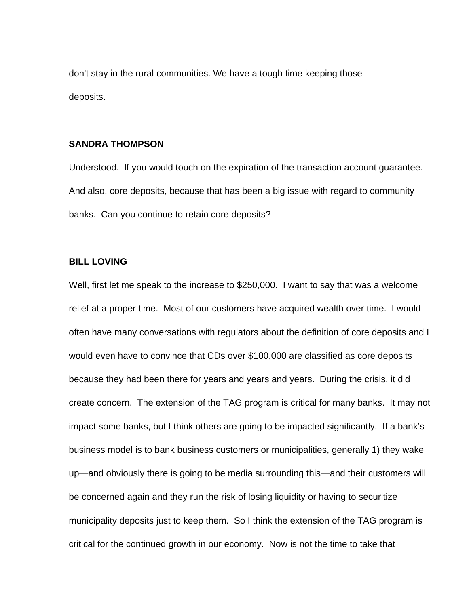don't stay in the rural communities. We have a tough time keeping those deposits.

## **SANDRA THOMPSON**

Understood. If you would touch on the expiration of the transaction account guarantee. And also, core deposits, because that has been a big issue with regard to community banks. Can you continue to retain core deposits?

## **BILL LOVING**

Well, first let me speak to the increase to \$250,000. I want to say that was a welcome relief at a proper time. Most of our customers have acquired wealth over time. I would often have many conversations with regulators about the definition of core deposits and I would even have to convince that CDs over \$100,000 are classified as core deposits because they had been there for years and years and years. During the crisis, it did create concern. The extension of the TAG program is critical for many banks. It may not impact some banks, but I think others are going to be impacted significantly. If a bank's business model is to bank business customers or municipalities, generally 1) they wake up—and obviously there is going to be media surrounding this—and their customers will be concerned again and they run the risk of losing liquidity or having to securitize municipality deposits just to keep them. So I think the extension of the TAG program is critical for the continued growth in our economy. Now is not the time to take that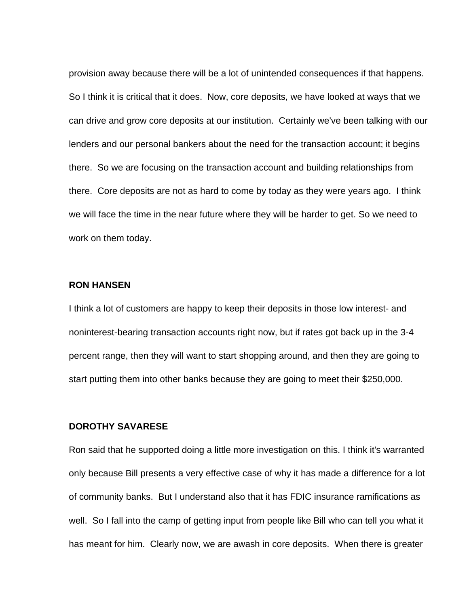provision away because there will be a lot of unintended consequences if that happens. So I think it is critical that it does. Now, core deposits, we have looked at ways that we can drive and grow core deposits at our institution. Certainly we've been talking with our lenders and our personal bankers about the need for the transaction account; it begins there. So we are focusing on the transaction account and building relationships from there. Core deposits are not as hard to come by today as they were years ago. I think we will face the time in the near future where they will be harder to get. So we need to work on them today.

### **RON HANSEN**

I think a lot of customers are happy to keep their deposits in those low interest- and noninterest-bearing transaction accounts right now, but if rates got back up in the 3-4 percent range, then they will want to start shopping around, and then they are going to start putting them into other banks because they are going to meet their \$250,000.

## **DOROTHY SAVARESE**

Ron said that he supported doing a little more investigation on this. I think it's warranted only because Bill presents a very effective case of why it has made a difference for a lot of community banks. But I understand also that it has FDIC insurance ramifications as well. So I fall into the camp of getting input from people like Bill who can tell you what it has meant for him. Clearly now, we are awash in core deposits. When there is greater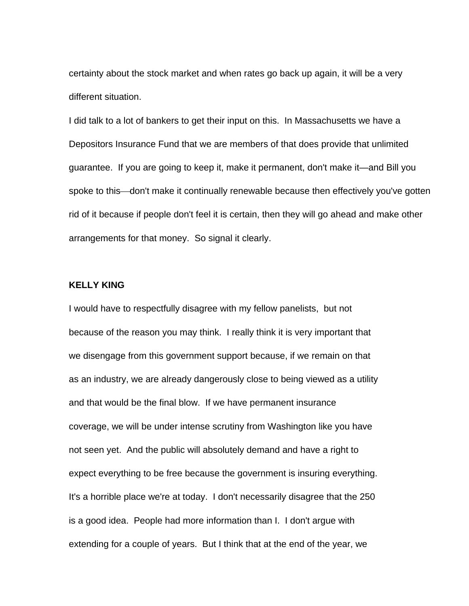certainty about the stock market and when rates go back up again, it will be a very different situation.

I did talk to a lot of bankers to get their input on this. In Massachusetts we have a Depositors Insurance Fund that we are members of that does provide that unlimited guarantee. If you are going to keep it, make it permanent, don't make it—and Bill you spoke to this—don't make it continually renewable because then effectively you've gotten rid of it because if people don't feel it is certain, then they will go ahead and make other arrangements for that money. So signal it clearly.

#### **KELLY KING**

I would have to respectfully disagree with my fellow panelists, but not because of the reason you may think. I really think it is very important that we disengage from this government support because, if we remain on that as an industry, we are already dangerously close to being viewed as a utility and that would be the final blow. If we have permanent insurance coverage, we will be under intense scrutiny from Washington like you have not seen yet. And the public will absolutely demand and have a right to expect everything to be free because the government is insuring everything. It's a horrible place we're at today. I don't necessarily disagree that the 250 is a good idea. People had more information than I. I don't argue with extending for a couple of years. But I think that at the end of the year, we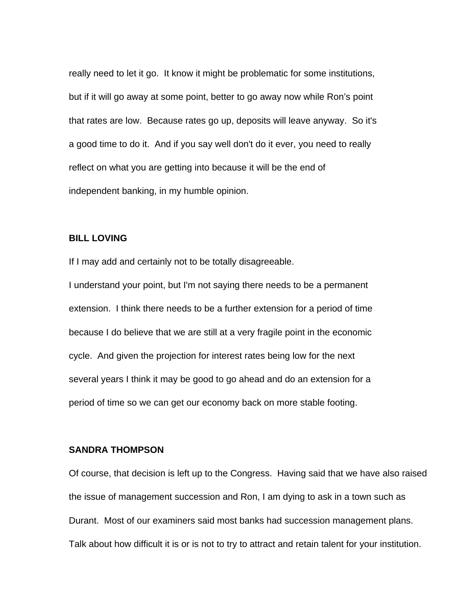really need to let it go. It know it might be problematic for some institutions, but if it will go away at some point, better to go away now while Ron's point that rates are low. Because rates go up, deposits will leave anyway. So it's a good time to do it. And if you say well don't do it ever, you need to really reflect on what you are getting into because it will be the end of independent banking, in my humble opinion.

## **BILL LOVING**

If I may add and certainly not to be totally disagreeable.

I understand your point, but I'm not saying there needs to be a permanent extension. I think there needs to be a further extension for a period of time because I do believe that we are still at a very fragile point in the economic cycle. And given the projection for interest rates being low for the next several years I think it may be good to go ahead and do an extension for a period of time so we can get our economy back on more stable footing.

## **SANDRA THOMPSON**

Of course, that decision is left up to the Congress. Having said that we have also raised the issue of management succession and Ron, I am dying to ask in a town such as Durant. Most of our examiners said most banks had succession management plans. Talk about how difficult it is or is not to try to attract and retain talent for your institution.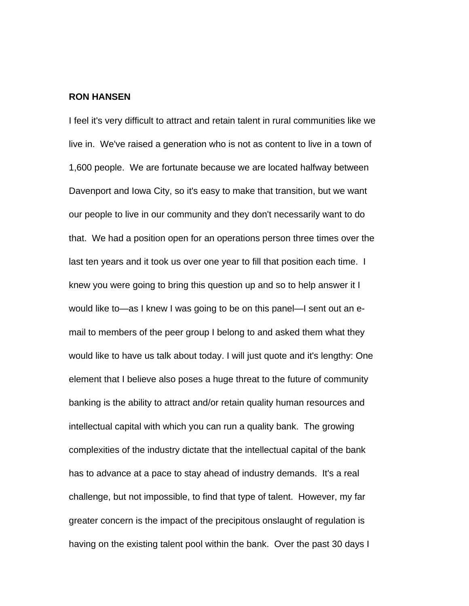#### **RON HANSEN**

I feel it's very difficult to attract and retain talent in rural communities like we live in. We've raised a generation who is not as content to live in a town of 1,600 people. We are fortunate because we are located halfway between Davenport and Iowa City, so it's easy to make that transition, but we want our people to live in our community and they don't necessarily want to do that. We had a position open for an operations person three times over the last ten years and it took us over one year to fill that position each time. I knew you were going to bring this question up and so to help answer it I would like to—as I knew I was going to be on this panel—I sent out an email to members of the peer group I belong to and asked them what they would like to have us talk about today. I will just quote and it's lengthy: One element that I believe also poses a huge threat to the future of community banking is the ability to attract and/or retain quality human resources and intellectual capital with which you can run a quality bank. The growing complexities of the industry dictate that the intellectual capital of the bank has to advance at a pace to stay ahead of industry demands. It's a real challenge, but not impossible, to find that type of talent. However, my far greater concern is the impact of the precipitous onslaught of regulation is having on the existing talent pool within the bank. Over the past 30 days I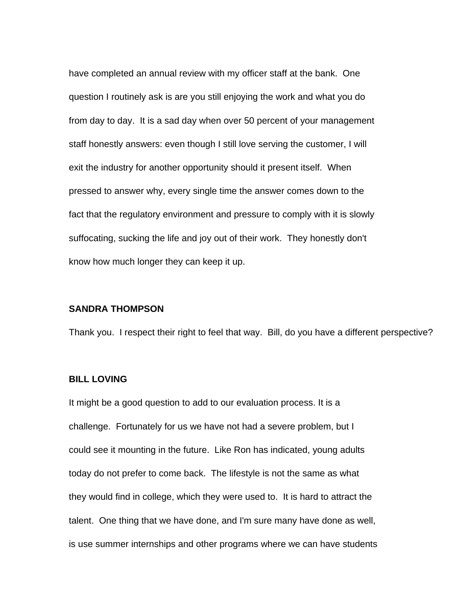have completed an annual review with my officer staff at the bank. One question I routinely ask is are you still enjoying the work and what you do from day to day. It is a sad day when over 50 percent of your management staff honestly answers: even though I still love serving the customer, I will exit the industry for another opportunity should it present itself. When pressed to answer why, every single time the answer comes down to the fact that the regulatory environment and pressure to comply with it is slowly suffocating, sucking the life and joy out of their work. They honestly don't know how much longer they can keep it up.

### **SANDRA THOMPSON**

Thank you. I respect their right to feel that way. Bill, do you have a different perspective?

## **BILL LOVING**

It might be a good question to add to our evaluation process. It is a challenge. Fortunately for us we have not had a severe problem, but I could see it mounting in the future. Like Ron has indicated, young adults today do not prefer to come back. The lifestyle is not the same as what they would find in college, which they were used to. It is hard to attract the talent. One thing that we have done, and I'm sure many have done as well, is use summer internships and other programs where we can have students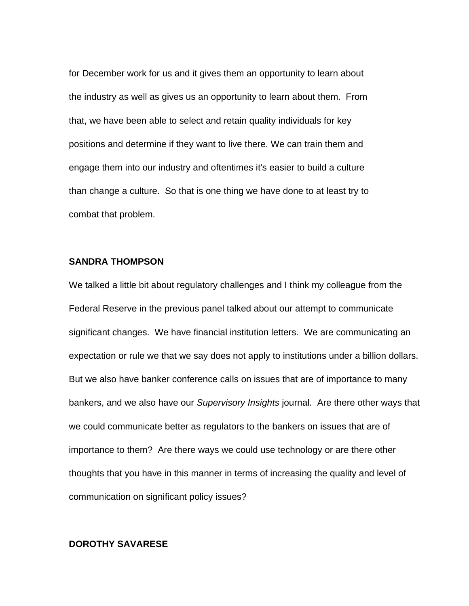for December work for us and it gives them an opportunity to learn about the industry as well as gives us an opportunity to learn about them. From that, we have been able to select and retain quality individuals for key positions and determine if they want to live there. We can train them and engage them into our industry and oftentimes it's easier to build a culture than change a culture. So that is one thing we have done to at least try to combat that problem.

# **SANDRA THOMPSON**

We talked a little bit about regulatory challenges and I think my colleague from the Federal Reserve in the previous panel talked about our attempt to communicate significant changes. We have financial institution letters. We are communicating an expectation or rule we that we say does not apply to institutions under a billion dollars. But we also have banker conference calls on issues that are of importance to many bankers, and we also have our *Supervisory Insights* journal. Are there other ways that we could communicate better as regulators to the bankers on issues that are of importance to them? Are there ways we could use technology or are there other thoughts that you have in this manner in terms of increasing the quality and level of communication on significant policy issues?

## **DOROTHY SAVARESE**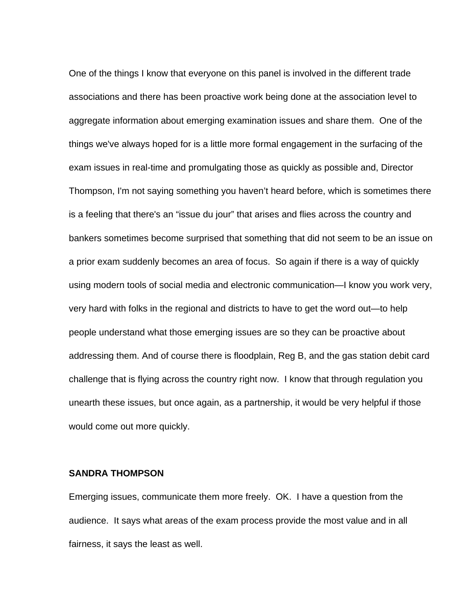One of the things I know that everyone on this panel is involved in the different trade associations and there has been proactive work being done at the association level to aggregate information about emerging examination issues and share them. One of the things we've always hoped for is a little more formal engagement in the surfacing of the exam issues in real-time and promulgating those as quickly as possible and, Director Thompson, I'm not saying something you haven't heard before, which is sometimes there is a feeling that there's an "issue du jour" that arises and flies across the country and bankers sometimes become surprised that something that did not seem to be an issue on a prior exam suddenly becomes an area of focus. So again if there is a way of quickly using modern tools of social media and electronic communication—I know you work very, very hard with folks in the regional and districts to have to get the word out—to help people understand what those emerging issues are so they can be proactive about addressing them. And of course there is floodplain, Reg B, and the gas station debit card challenge that is flying across the country right now. I know that through regulation you unearth these issues, but once again, as a partnership, it would be very helpful if those would come out more quickly.

## **SANDRA THOMPSON**

Emerging issues, communicate them more freely. OK. I have a question from the audience. It says what areas of the exam process provide the most value and in all fairness, it says the least as well.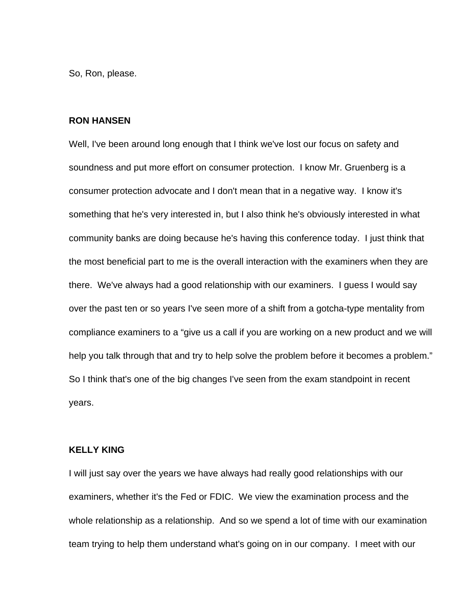So, Ron, please.

#### **RON HANSEN**

Well, I've been around long enough that I think we've lost our focus on safety and soundness and put more effort on consumer protection. I know Mr. Gruenberg is a consumer protection advocate and I don't mean that in a negative way. I know it's something that he's very interested in, but I also think he's obviously interested in what community banks are doing because he's having this conference today. I just think that the most beneficial part to me is the overall interaction with the examiners when they are there. We've always had a good relationship with our examiners. I guess I would say over the past ten or so years I've seen more of a shift from a gotcha-type mentality from compliance examiners to a "give us a call if you are working on a new product and we will help you talk through that and try to help solve the problem before it becomes a problem." So I think that's one of the big changes I've seen from the exam standpoint in recent years.

## **KELLY KING**

I will just say over the years we have always had really good relationships with our examiners, whether it's the Fed or FDIC. We view the examination process and the whole relationship as a relationship. And so we spend a lot of time with our examination team trying to help them understand what's going on in our company. I meet with our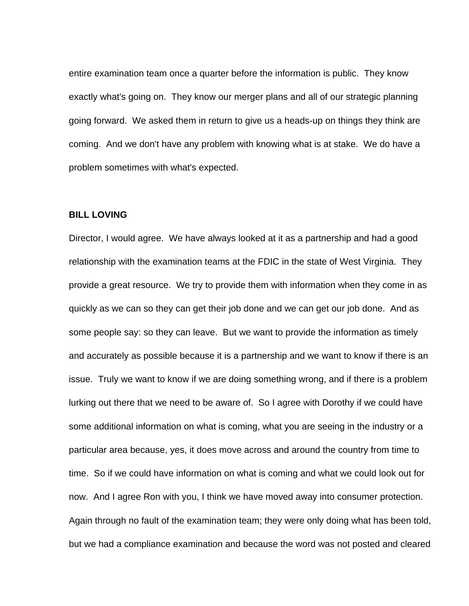entire examination team once a quarter before the information is public. They know exactly what's going on. They know our merger plans and all of our strategic planning going forward. We asked them in return to give us a heads-up on things they think are coming. And we don't have any problem with knowing what is at stake. We do have a problem sometimes with what's expected.

### **BILL LOVING**

Director, I would agree. We have always looked at it as a partnership and had a good relationship with the examination teams at the FDIC in the state of West Virginia. They provide a great resource. We try to provide them with information when they come in as quickly as we can so they can get their job done and we can get our job done. And as some people say: so they can leave. But we want to provide the information as timely and accurately as possible because it is a partnership and we want to know if there is an issue. Truly we want to know if we are doing something wrong, and if there is a problem lurking out there that we need to be aware of. So I agree with Dorothy if we could have some additional information on what is coming, what you are seeing in the industry or a particular area because, yes, it does move across and around the country from time to time. So if we could have information on what is coming and what we could look out for now. And I agree Ron with you, I think we have moved away into consumer protection. Again through no fault of the examination team; they were only doing what has been told, but we had a compliance examination and because the word was not posted and cleared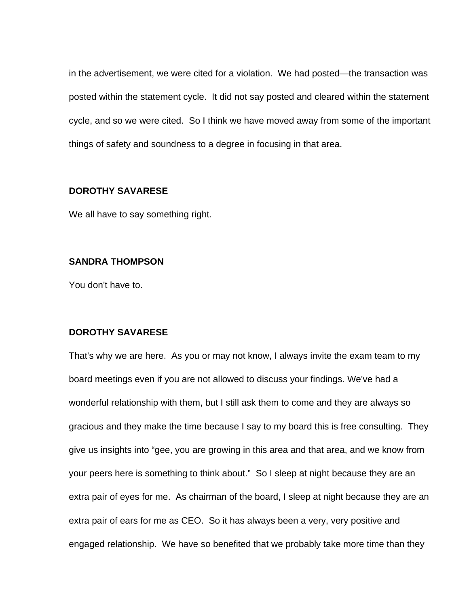in the advertisement, we were cited for a violation. We had posted—the transaction was posted within the statement cycle. It did not say posted and cleared within the statement cycle, and so we were cited. So I think we have moved away from some of the important things of safety and soundness to a degree in focusing in that area.

## **DOROTHY SAVARESE**

We all have to say something right.

## **SANDRA THOMPSON**

You don't have to.

## **DOROTHY SAVARESE**

That's why we are here. As you or may not know, I always invite the exam team to my board meetings even if you are not allowed to discuss your findings. We've had a wonderful relationship with them, but I still ask them to come and they are always so gracious and they make the time because I say to my board this is free consulting. They give us insights into "gee, you are growing in this area and that area, and we know from your peers here is something to think about." So I sleep at night because they are an extra pair of eyes for me. As chairman of the board, I sleep at night because they are an extra pair of ears for me as CEO. So it has always been a very, very positive and engaged relationship. We have so benefited that we probably take more time than they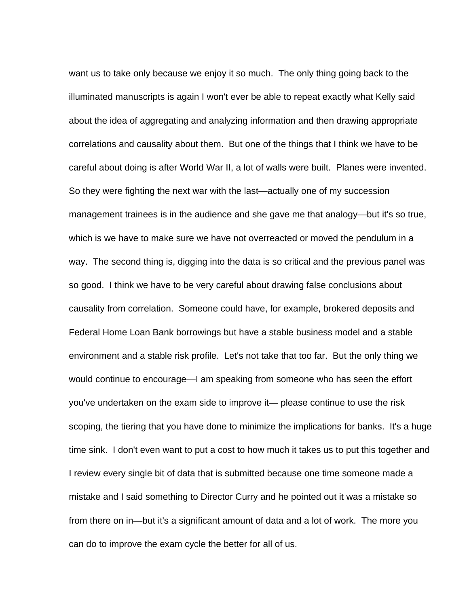want us to take only because we enjoy it so much. The only thing going back to the illuminated manuscripts is again I won't ever be able to repeat exactly what Kelly said about the idea of aggregating and analyzing information and then drawing appropriate correlations and causality about them. But one of the things that I think we have to be careful about doing is after World War II, a lot of walls were built. Planes were invented. So they were fighting the next war with the last—actually one of my succession management trainees is in the audience and she gave me that analogy—but it's so true, which is we have to make sure we have not overreacted or moved the pendulum in a way. The second thing is, digging into the data is so critical and the previous panel was so good. I think we have to be very careful about drawing false conclusions about causality from correlation. Someone could have, for example, brokered deposits and Federal Home Loan Bank borrowings but have a stable business model and a stable environment and a stable risk profile. Let's not take that too far. But the only thing we would continue to encourage—I am speaking from someone who has seen the effort you've undertaken on the exam side to improve it— please continue to use the risk scoping, the tiering that you have done to minimize the implications for banks. It's a huge time sink. I don't even want to put a cost to how much it takes us to put this together and I review every single bit of data that is submitted because one time someone made a mistake and I said something to Director Curry and he pointed out it was a mistake so from there on in—but it's a significant amount of data and a lot of work. The more you can do to improve the exam cycle the better for all of us.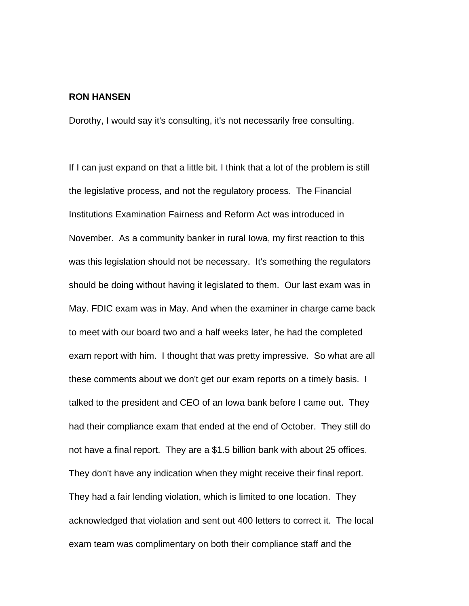### **RON HANSEN**

Dorothy, I would say it's consulting, it's not necessarily free consulting.

If I can just expand on that a little bit. I think that a lot of the problem is still the legislative process, and not the regulatory process. The Financial Institutions Examination Fairness and Reform Act was introduced in November. As a community banker in rural Iowa, my first reaction to this was this legislation should not be necessary. It's something the regulators should be doing without having it legislated to them. Our last exam was in May. FDIC exam was in May. And when the examiner in charge came back to meet with our board two and a half weeks later, he had the completed exam report with him. I thought that was pretty impressive. So what are all these comments about we don't get our exam reports on a timely basis. I talked to the president and CEO of an Iowa bank before I came out. They had their compliance exam that ended at the end of October. They still do not have a final report. They are a \$1.5 billion bank with about 25 offices. They don't have any indication when they might receive their final report. They had a fair lending violation, which is limited to one location. They acknowledged that violation and sent out 400 letters to correct it. The local exam team was complimentary on both their compliance staff and the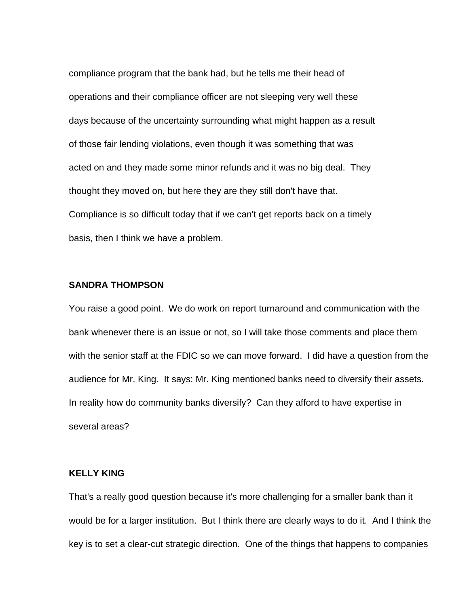compliance program that the bank had, but he tells me their head of operations and their compliance officer are not sleeping very well these days because of the uncertainty surrounding what might happen as a result of those fair lending violations, even though it was something that was acted on and they made some minor refunds and it was no big deal. They thought they moved on, but here they are they still don't have that. Compliance is so difficult today that if we can't get reports back on a timely basis, then I think we have a problem.

#### **SANDRA THOMPSON**

You raise a good point. We do work on report turnaround and communication with the bank whenever there is an issue or not, so I will take those comments and place them with the senior staff at the FDIC so we can move forward. I did have a question from the audience for Mr. King. It says: Mr. King mentioned banks need to diversify their assets. In reality how do community banks diversify? Can they afford to have expertise in several areas?

## **KELLY KING**

That's a really good question because it's more challenging for a smaller bank than it would be for a larger institution. But I think there are clearly ways to do it. And I think the key is to set a clear-cut strategic direction. One of the things that happens to companies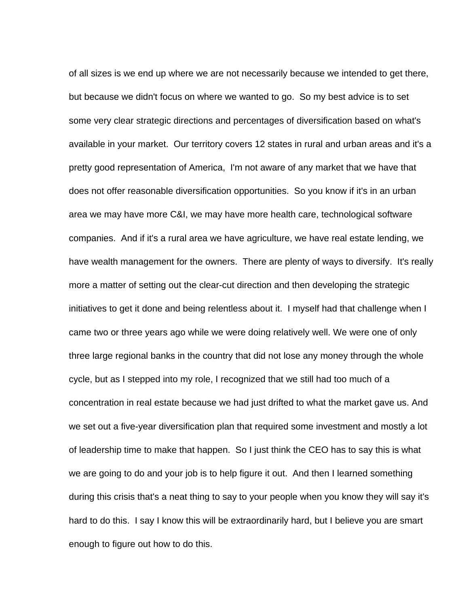of all sizes is we end up where we are not necessarily because we intended to get there, but because we didn't focus on where we wanted to go. So my best advice is to set some very clear strategic directions and percentages of diversification based on what's available in your market. Our territory covers 12 states in rural and urban areas and it's a pretty good representation of America, I'm not aware of any market that we have that does not offer reasonable diversification opportunities. So you know if it's in an urban area we may have more C&I, we may have more health care, technological software companies. And if it's a rural area we have agriculture, we have real estate lending, we have wealth management for the owners. There are plenty of ways to diversify. It's really more a matter of setting out the clear-cut direction and then developing the strategic initiatives to get it done and being relentless about it. I myself had that challenge when I came two or three years ago while we were doing relatively well. We were one of only three large regional banks in the country that did not lose any money through the whole cycle, but as I stepped into my role, I recognized that we still had too much of a concentration in real estate because we had just drifted to what the market gave us. And we set out a five-year diversification plan that required some investment and mostly a lot of leadership time to make that happen. So I just think the CEO has to say this is what we are going to do and your job is to help figure it out. And then I learned something during this crisis that's a neat thing to say to your people when you know they will say it's hard to do this. I say I know this will be extraordinarily hard, but I believe you are smart enough to figure out how to do this.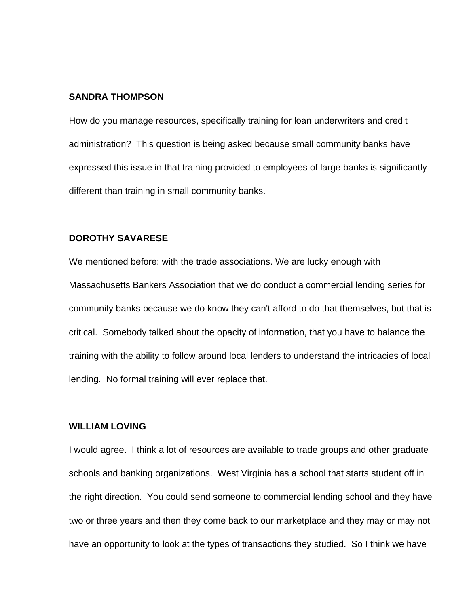#### **SANDRA THOMPSON**

How do you manage resources, specifically training for loan underwriters and credit administration? This question is being asked because small community banks have expressed this issue in that training provided to employees of large banks is significantly different than training in small community banks.

## **DOROTHY SAVARESE**

We mentioned before: with the trade associations. We are lucky enough with Massachusetts Bankers Association that we do conduct a commercial lending series for community banks because we do know they can't afford to do that themselves, but that is critical. Somebody talked about the opacity of information, that you have to balance the training with the ability to follow around local lenders to understand the intricacies of local lending. No formal training will ever replace that.

## **WILLIAM LOVING**

I would agree. I think a lot of resources are available to trade groups and other graduate schools and banking organizations. West Virginia has a school that starts student off in the right direction. You could send someone to commercial lending school and they have two or three years and then they come back to our marketplace and they may or may not have an opportunity to look at the types of transactions they studied. So I think we have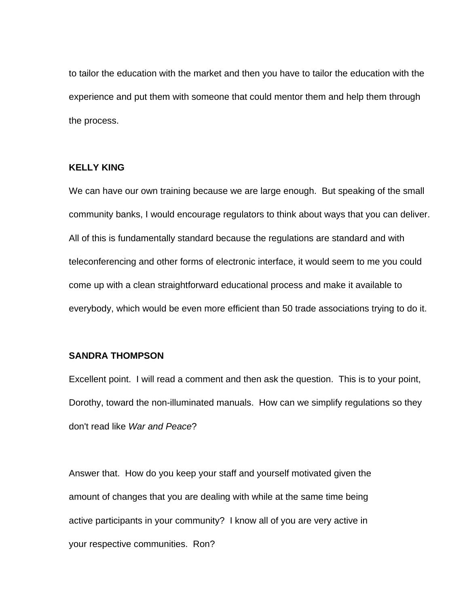to tailor the education with the market and then you have to tailor the education with the experience and put them with someone that could mentor them and help them through the process.

## **KELLY KING**

We can have our own training because we are large enough. But speaking of the small community banks, I would encourage regulators to think about ways that you can deliver. All of this is fundamentally standard because the regulations are standard and with teleconferencing and other forms of electronic interface, it would seem to me you could come up with a clean straightforward educational process and make it available to everybody, which would be even more efficient than 50 trade associations trying to do it.

### **SANDRA THOMPSON**

Excellent point. I will read a comment and then ask the question. This is to your point, Dorothy, toward the non-illuminated manuals. How can we simplify regulations so they don't read like *War and Peace*?

Answer that. How do you keep your staff and yourself motivated given the amount of changes that you are dealing with while at the same time being active participants in your community? I know all of you are very active in your respective communities. Ron?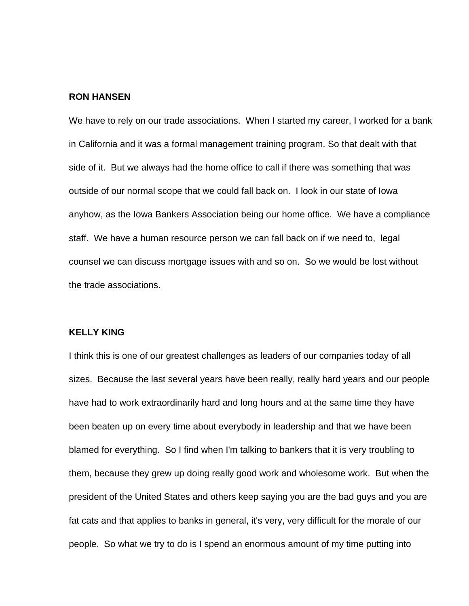## **RON HANSEN**

We have to rely on our trade associations. When I started my career, I worked for a bank in California and it was a formal management training program. So that dealt with that side of it. But we always had the home office to call if there was something that was outside of our normal scope that we could fall back on. I look in our state of Iowa anyhow, as the Iowa Bankers Association being our home office. We have a compliance staff. We have a human resource person we can fall back on if we need to, legal counsel we can discuss mortgage issues with and so on. So we would be lost without the trade associations.

## **KELLY KING**

I think this is one of our greatest challenges as leaders of our companies today of all sizes. Because the last several years have been really, really hard years and our people have had to work extraordinarily hard and long hours and at the same time they have been beaten up on every time about everybody in leadership and that we have been blamed for everything. So I find when I'm talking to bankers that it is very troubling to them, because they grew up doing really good work and wholesome work. But when the president of the United States and others keep saying you are the bad guys and you are fat cats and that applies to banks in general, it's very, very difficult for the morale of our people. So what we try to do is I spend an enormous amount of my time putting into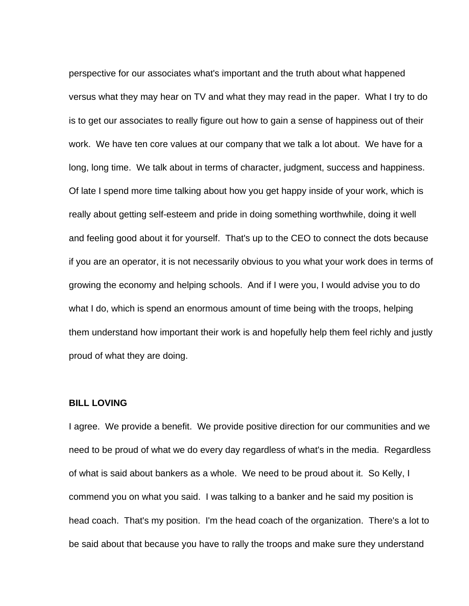perspective for our associates what's important and the truth about what happened versus what they may hear on TV and what they may read in the paper. What I try to do is to get our associates to really figure out how to gain a sense of happiness out of their work. We have ten core values at our company that we talk a lot about. We have for a long, long time. We talk about in terms of character, judgment, success and happiness. Of late I spend more time talking about how you get happy inside of your work, which is really about getting self-esteem and pride in doing something worthwhile, doing it well and feeling good about it for yourself. That's up to the CEO to connect the dots because if you are an operator, it is not necessarily obvious to you what your work does in terms of growing the economy and helping schools. And if I were you, I would advise you to do what I do, which is spend an enormous amount of time being with the troops, helping them understand how important their work is and hopefully help them feel richly and justly proud of what they are doing.

### **BILL LOVING**

I agree. We provide a benefit. We provide positive direction for our communities and we need to be proud of what we do every day regardless of what's in the media. Regardless of what is said about bankers as a whole. We need to be proud about it. So Kelly, I commend you on what you said. I was talking to a banker and he said my position is head coach. That's my position. I'm the head coach of the organization. There's a lot to be said about that because you have to rally the troops and make sure they understand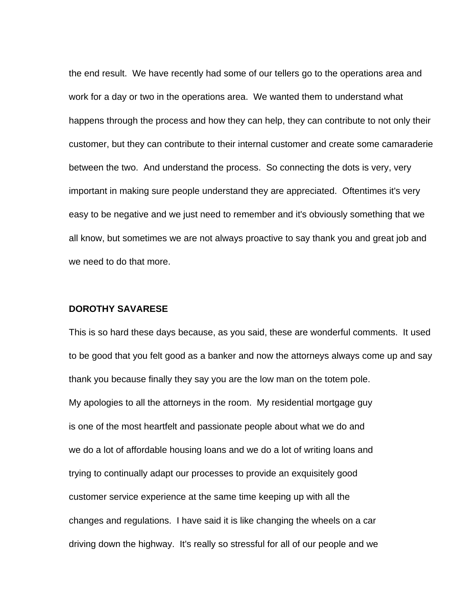the end result. We have recently had some of our tellers go to the operations area and work for a day or two in the operations area. We wanted them to understand what happens through the process and how they can help, they can contribute to not only their customer, but they can contribute to their internal customer and create some camaraderie between the two. And understand the process. So connecting the dots is very, very important in making sure people understand they are appreciated. Oftentimes it's very easy to be negative and we just need to remember and it's obviously something that we all know, but sometimes we are not always proactive to say thank you and great job and we need to do that more.

## **DOROTHY SAVARESE**

This is so hard these days because, as you said, these are wonderful comments. It used to be good that you felt good as a banker and now the attorneys always come up and say thank you because finally they say you are the low man on the totem pole. My apologies to all the attorneys in the room. My residential mortgage guy is one of the most heartfelt and passionate people about what we do and we do a lot of affordable housing loans and we do a lot of writing loans and trying to continually adapt our processes to provide an exquisitely good customer service experience at the same time keeping up with all the changes and regulations. I have said it is like changing the wheels on a car driving down the highway. It's really so stressful for all of our people and we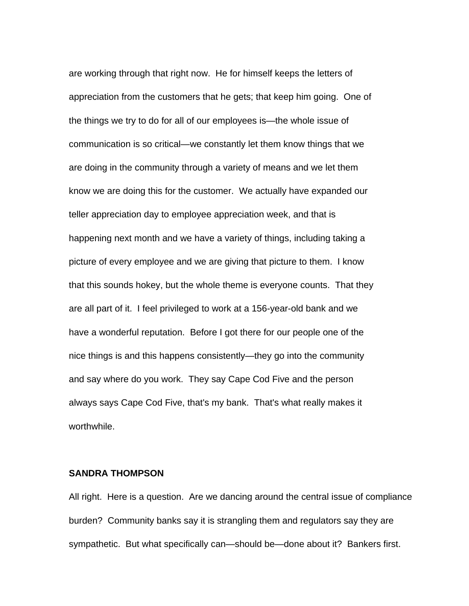are working through that right now. He for himself keeps the letters of appreciation from the customers that he gets; that keep him going. One of the things we try to do for all of our employees is—the whole issue of communication is so critical—we constantly let them know things that we are doing in the community through a variety of means and we let them know we are doing this for the customer. We actually have expanded our teller appreciation day to employee appreciation week, and that is happening next month and we have a variety of things, including taking a picture of every employee and we are giving that picture to them. I know that this sounds hokey, but the whole theme is everyone counts. That they are all part of it. I feel privileged to work at a 156-year-old bank and we have a wonderful reputation. Before I got there for our people one of the nice things is and this happens consistently—they go into the community and say where do you work. They say Cape Cod Five and the person always says Cape Cod Five, that's my bank. That's what really makes it worthwhile.

#### **SANDRA THOMPSON**

All right. Here is a question. Are we dancing around the central issue of compliance burden? Community banks say it is strangling them and regulators say they are sympathetic. But what specifically can—should be—done about it? Bankers first.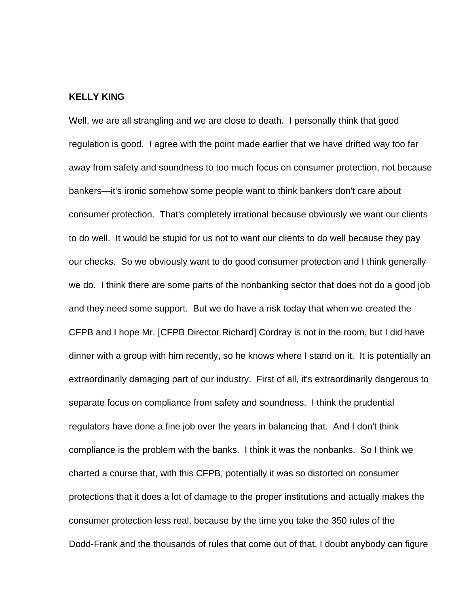### **KELLY KING**

Well, we are all strangling and we are close to death. I personally think that good regulation is good. I agree with the point made earlier that we have drifted way too far away from safety and soundness to too much focus on consumer protection, not because bankers—it's ironic somehow some people want to think bankers don't care about consumer protection. That's completely irrational because obviously we want our clients to do well. It would be stupid for us not to want our clients to do well because they pay our checks. So we obviously want to do good consumer protection and I think generally we do. I think there are some parts of the nonbanking sector that does not do a good job and they need some support. But we do have a risk today that when we created the CFPB and I hope Mr. [CFPB Director Richard] Cordray is not in the room, but I did have dinner with a group with him recently, so he knows where I stand on it. It is potentially an extraordinarily damaging part of our industry. First of all, it's extraordinarily dangerous to separate focus on compliance from safety and soundness. I think the prudential regulators have done a fine job over the years in balancing that. And I don't think compliance is the problem with the banks. I think it was the nonbanks. So I think we charted a course that, with this CFPB, potentially it was so distorted on consumer protections that it does a lot of damage to the proper institutions and actually makes the consumer protection less real, because by the time you take the 350 rules of the Dodd-Frank and the thousands of rules that come out of that, I doubt anybody can figure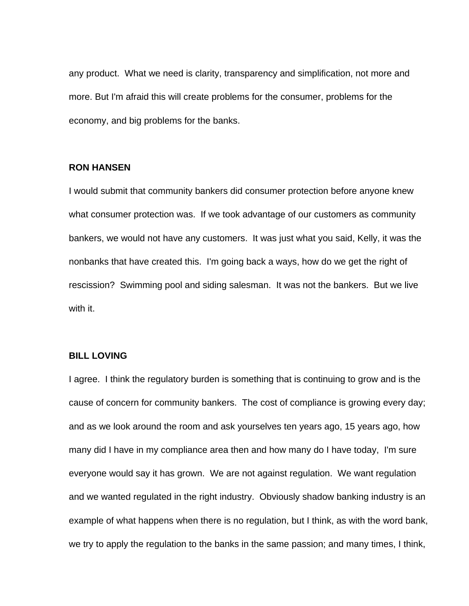any product. What we need is clarity, transparency and simplification, not more and more. But I'm afraid this will create problems for the consumer, problems for the economy, and big problems for the banks.

## **RON HANSEN**

I would submit that community bankers did consumer protection before anyone knew what consumer protection was. If we took advantage of our customers as community bankers, we would not have any customers. It was just what you said, Kelly, it was the nonbanks that have created this. I'm going back a ways, how do we get the right of rescission? Swimming pool and siding salesman. It was not the bankers. But we live with it.

## **BILL LOVING**

I agree. I think the regulatory burden is something that is continuing to grow and is the cause of concern for community bankers. The cost of compliance is growing every day; and as we look around the room and ask yourselves ten years ago, 15 years ago, how many did I have in my compliance area then and how many do I have today, I'm sure everyone would say it has grown. We are not against regulation. We want regulation and we wanted regulated in the right industry. Obviously shadow banking industry is an example of what happens when there is no regulation, but I think, as with the word bank, we try to apply the regulation to the banks in the same passion; and many times, I think,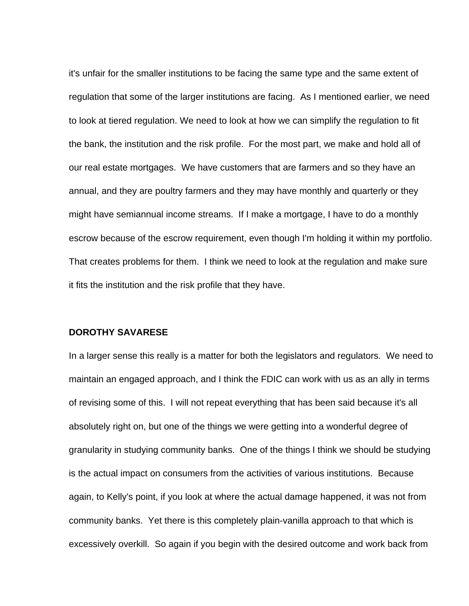it's unfair for the smaller institutions to be facing the same type and the same extent of regulation that some of the larger institutions are facing. As I mentioned earlier, we need to look at tiered regulation. We need to look at how we can simplify the regulation to fit the bank, the institution and the risk profile. For the most part, we make and hold all of our real estate mortgages. We have customers that are farmers and so they have an annual, and they are poultry farmers and they may have monthly and quarterly or they might have semiannual income streams. If I make a mortgage, I have to do a monthly escrow because of the escrow requirement, even though I'm holding it within my portfolio. That creates problems for them. I think we need to look at the regulation and make sure it fits the institution and the risk profile that they have.

## **DOROTHY SAVARESE**

In a larger sense this really is a matter for both the legislators and regulators. We need to maintain an engaged approach, and I think the FDIC can work with us as an ally in terms of revising some of this. I will not repeat everything that has been said because it's all absolutely right on, but one of the things we were getting into a wonderful degree of granularity in studying community banks. One of the things I think we should be studying is the actual impact on consumers from the activities of various institutions. Because again, to Kelly's point, if you look at where the actual damage happened, it was not from community banks. Yet there is this completely plain-vanilla approach to that which is excessively overkill. So again if you begin with the desired outcome and work back from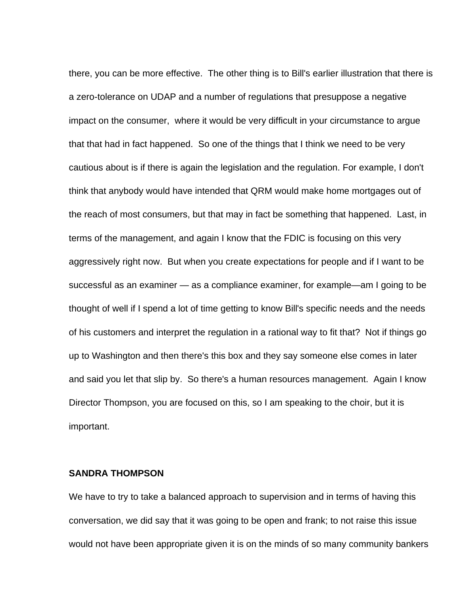there, you can be more effective. The other thing is to Bill's earlier illustration that there is a zero-tolerance on UDAP and a number of regulations that presuppose a negative impact on the consumer, where it would be very difficult in your circumstance to argue that that had in fact happened. So one of the things that I think we need to be very cautious about is if there is again the legislation and the regulation. For example, I don't think that anybody would have intended that QRM would make home mortgages out of the reach of most consumers, but that may in fact be something that happened. Last, in terms of the management, and again I know that the FDIC is focusing on this very aggressively right now. But when you create expectations for people and if I want to be successful as an examiner — as a compliance examiner, for example—am I going to be thought of well if I spend a lot of time getting to know Bill's specific needs and the needs of his customers and interpret the regulation in a rational way to fit that? Not if things go up to Washington and then there's this box and they say someone else comes in later and said you let that slip by. So there's a human resources management. Again I know Director Thompson, you are focused on this, so I am speaking to the choir, but it is important.

## **SANDRA THOMPSON**

We have to try to take a balanced approach to supervision and in terms of having this conversation, we did say that it was going to be open and frank; to not raise this issue would not have been appropriate given it is on the minds of so many community bankers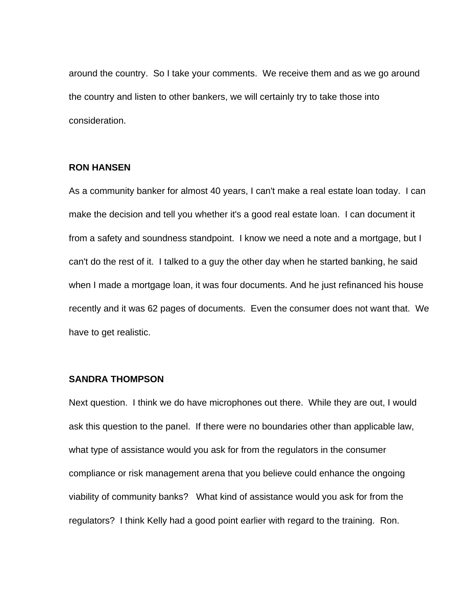around the country. So I take your comments. We receive them and as we go around the country and listen to other bankers, we will certainly try to take those into consideration.

## **RON HANSEN**

As a community banker for almost 40 years, I can't make a real estate loan today. I can make the decision and tell you whether it's a good real estate loan. I can document it from a safety and soundness standpoint. I know we need a note and a mortgage, but I can't do the rest of it. I talked to a guy the other day when he started banking, he said when I made a mortgage loan, it was four documents. And he just refinanced his house recently and it was 62 pages of documents. Even the consumer does not want that. We have to get realistic.

## **SANDRA THOMPSON**

Next question. I think we do have microphones out there. While they are out, I would ask this question to the panel. If there were no boundaries other than applicable law, what type of assistance would you ask for from the regulators in the consumer compliance or risk management arena that you believe could enhance the ongoing viability of community banks? What kind of assistance would you ask for from the regulators? I think Kelly had a good point earlier with regard to the training. Ron.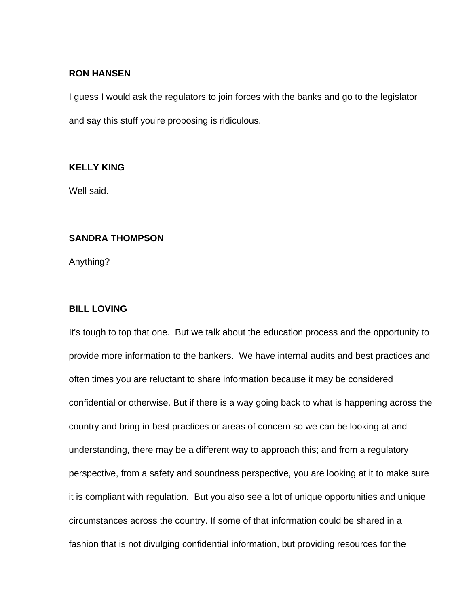## **RON HANSEN**

I guess I would ask the regulators to join forces with the banks and go to the legislator and say this stuff you're proposing is ridiculous.

## **KELLY KING**

Well said.

## **SANDRA THOMPSON**

Anything?

# **BILL LOVING**

It's tough to top that one. But we talk about the education process and the opportunity to provide more information to the bankers. We have internal audits and best practices and often times you are reluctant to share information because it may be considered confidential or otherwise. But if there is a way going back to what is happening across the country and bring in best practices or areas of concern so we can be looking at and understanding, there may be a different way to approach this; and from a regulatory perspective, from a safety and soundness perspective, you are looking at it to make sure it is compliant with regulation. But you also see a lot of unique opportunities and unique circumstances across the country. If some of that information could be shared in a fashion that is not divulging confidential information, but providing resources for the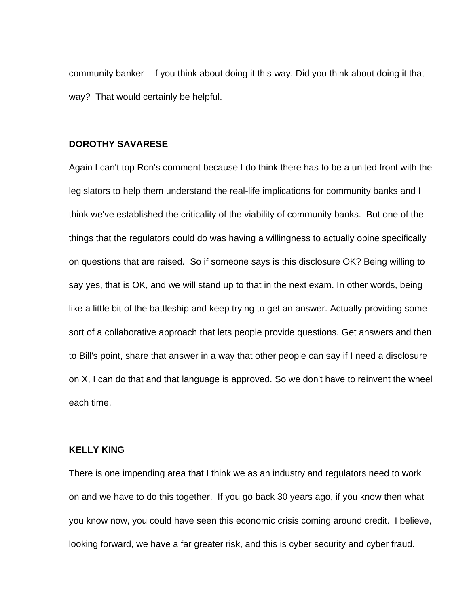community banker—if you think about doing it this way. Did you think about doing it that way? That would certainly be helpful.

## **DOROTHY SAVARESE**

Again I can't top Ron's comment because I do think there has to be a united front with the legislators to help them understand the real-life implications for community banks and I think we've established the criticality of the viability of community banks. But one of the things that the regulators could do was having a willingness to actually opine specifically on questions that are raised. So if someone says is this disclosure OK? Being willing to say yes, that is OK, and we will stand up to that in the next exam. In other words, being like a little bit of the battleship and keep trying to get an answer. Actually providing some sort of a collaborative approach that lets people provide questions. Get answers and then to Bill's point, share that answer in a way that other people can say if I need a disclosure on X, I can do that and that language is approved. So we don't have to reinvent the wheel each time.

## **KELLY KING**

There is one impending area that I think we as an industry and regulators need to work on and we have to do this together. If you go back 30 years ago, if you know then what you know now, you could have seen this economic crisis coming around credit. I believe, looking forward, we have a far greater risk, and this is cyber security and cyber fraud.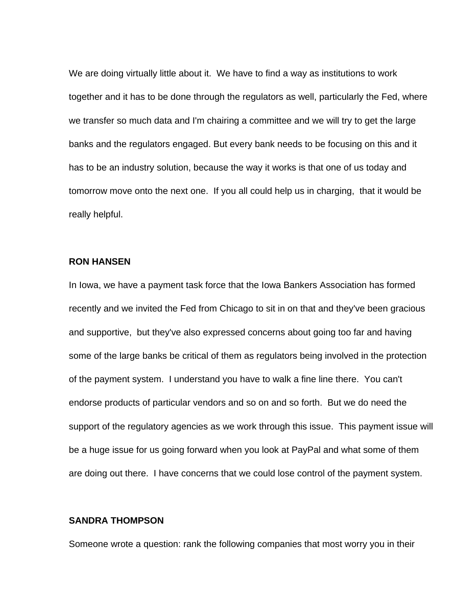We are doing virtually little about it. We have to find a way as institutions to work together and it has to be done through the regulators as well, particularly the Fed, where we transfer so much data and I'm chairing a committee and we will try to get the large banks and the regulators engaged. But every bank needs to be focusing on this and it has to be an industry solution, because the way it works is that one of us today and tomorrow move onto the next one. If you all could help us in charging, that it would be really helpful.

# **RON HANSEN**

In Iowa, we have a payment task force that the Iowa Bankers Association has formed recently and we invited the Fed from Chicago to sit in on that and they've been gracious and supportive, but they've also expressed concerns about going too far and having some of the large banks be critical of them as regulators being involved in the protection of the payment system. I understand you have to walk a fine line there. You can't endorse products of particular vendors and so on and so forth. But we do need the support of the regulatory agencies as we work through this issue. This payment issue will be a huge issue for us going forward when you look at PayPal and what some of them are doing out there. I have concerns that we could lose control of the payment system.

## **SANDRA THOMPSON**

Someone wrote a question: rank the following companies that most worry you in their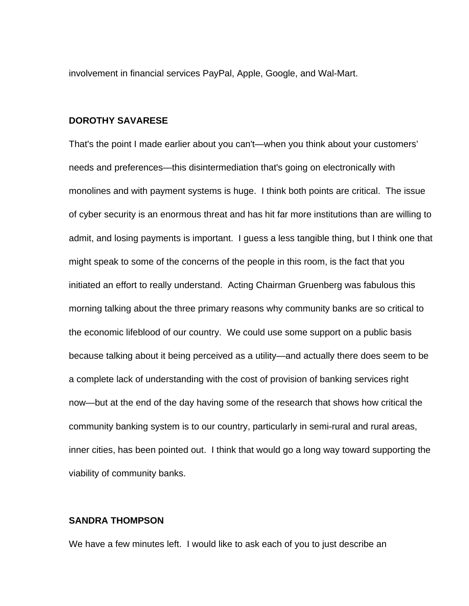involvement in financial services PayPal, Apple, Google, and Wal-Mart.

#### **DOROTHY SAVARESE**

That's the point I made earlier about you can't—when you think about your customers' needs and preferences—this disintermediation that's going on electronically with monolines and with payment systems is huge. I think both points are critical. The issue of cyber security is an enormous threat and has hit far more institutions than are willing to admit, and losing payments is important. I guess a less tangible thing, but I think one that might speak to some of the concerns of the people in this room, is the fact that you initiated an effort to really understand. Acting Chairman Gruenberg was fabulous this morning talking about the three primary reasons why community banks are so critical to the economic lifeblood of our country. We could use some support on a public basis because talking about it being perceived as a utility—and actually there does seem to be a complete lack of understanding with the cost of provision of banking services right now—but at the end of the day having some of the research that shows how critical the community banking system is to our country, particularly in semi-rural and rural areas, inner cities, has been pointed out. I think that would go a long way toward supporting the viability of community banks.

## **SANDRA THOMPSON**

We have a few minutes left. I would like to ask each of you to just describe an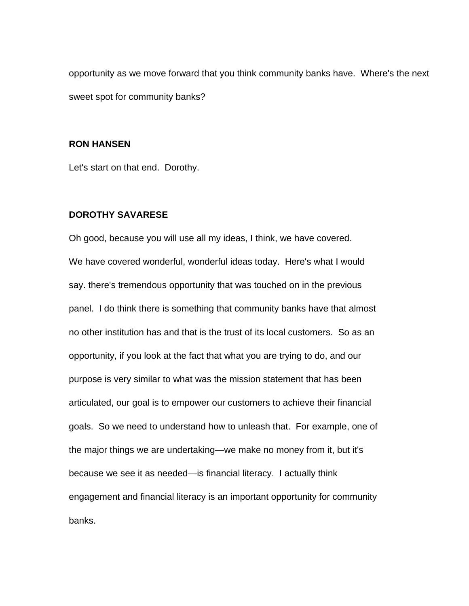opportunity as we move forward that you think community banks have. Where's the next sweet spot for community banks?

## **RON HANSEN**

Let's start on that end. Dorothy.

## **DOROTHY SAVARESE**

Oh good, because you will use all my ideas, I think, we have covered. We have covered wonderful, wonderful ideas today. Here's what I would say. there's tremendous opportunity that was touched on in the previous panel. I do think there is something that community banks have that almost no other institution has and that is the trust of its local customers. So as an opportunity, if you look at the fact that what you are trying to do, and our purpose is very similar to what was the mission statement that has been articulated, our goal is to empower our customers to achieve their financial goals. So we need to understand how to unleash that. For example, one of the major things we are undertaking—we make no money from it, but it's because we see it as needed—is financial literacy. I actually think engagement and financial literacy is an important opportunity for community banks.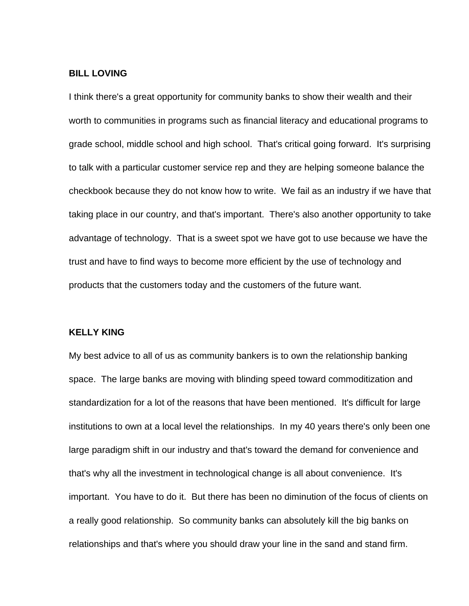## **BILL LOVING**

I think there's a great opportunity for community banks to show their wealth and their worth to communities in programs such as financial literacy and educational programs to grade school, middle school and high school. That's critical going forward. It's surprising to talk with a particular customer service rep and they are helping someone balance the checkbook because they do not know how to write. We fail as an industry if we have that taking place in our country, and that's important. There's also another opportunity to take advantage of technology. That is a sweet spot we have got to use because we have the trust and have to find ways to become more efficient by the use of technology and products that the customers today and the customers of the future want.

#### **KELLY KING**

My best advice to all of us as community bankers is to own the relationship banking space. The large banks are moving with blinding speed toward commoditization and standardization for a lot of the reasons that have been mentioned. It's difficult for large institutions to own at a local level the relationships. In my 40 years there's only been one large paradigm shift in our industry and that's toward the demand for convenience and that's why all the investment in technological change is all about convenience. It's important. You have to do it. But there has been no diminution of the focus of clients on a really good relationship. So community banks can absolutely kill the big banks on relationships and that's where you should draw your line in the sand and stand firm.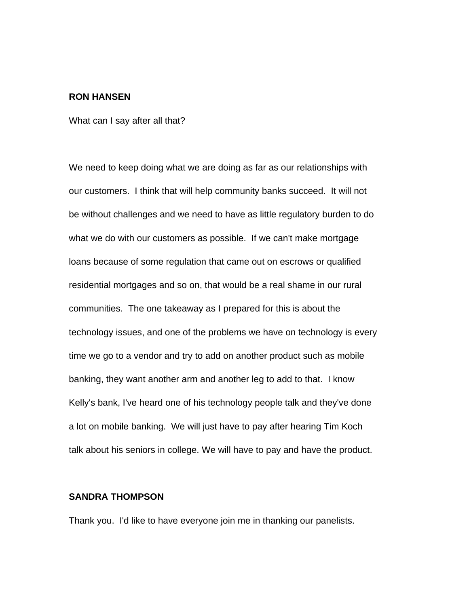## **RON HANSEN**

What can I say after all that?

We need to keep doing what we are doing as far as our relationships with our customers. I think that will help community banks succeed. It will not be without challenges and we need to have as little regulatory burden to do what we do with our customers as possible. If we can't make mortgage loans because of some regulation that came out on escrows or qualified residential mortgages and so on, that would be a real shame in our rural communities. The one takeaway as I prepared for this is about the technology issues, and one of the problems we have on technology is every time we go to a vendor and try to add on another product such as mobile banking, they want another arm and another leg to add to that. I know Kelly's bank, I've heard one of his technology people talk and they've done a lot on mobile banking. We will just have to pay after hearing Tim Koch talk about his seniors in college. We will have to pay and have the product.

# **SANDRA THOMPSON**

Thank you. I'd like to have everyone join me in thanking our panelists.